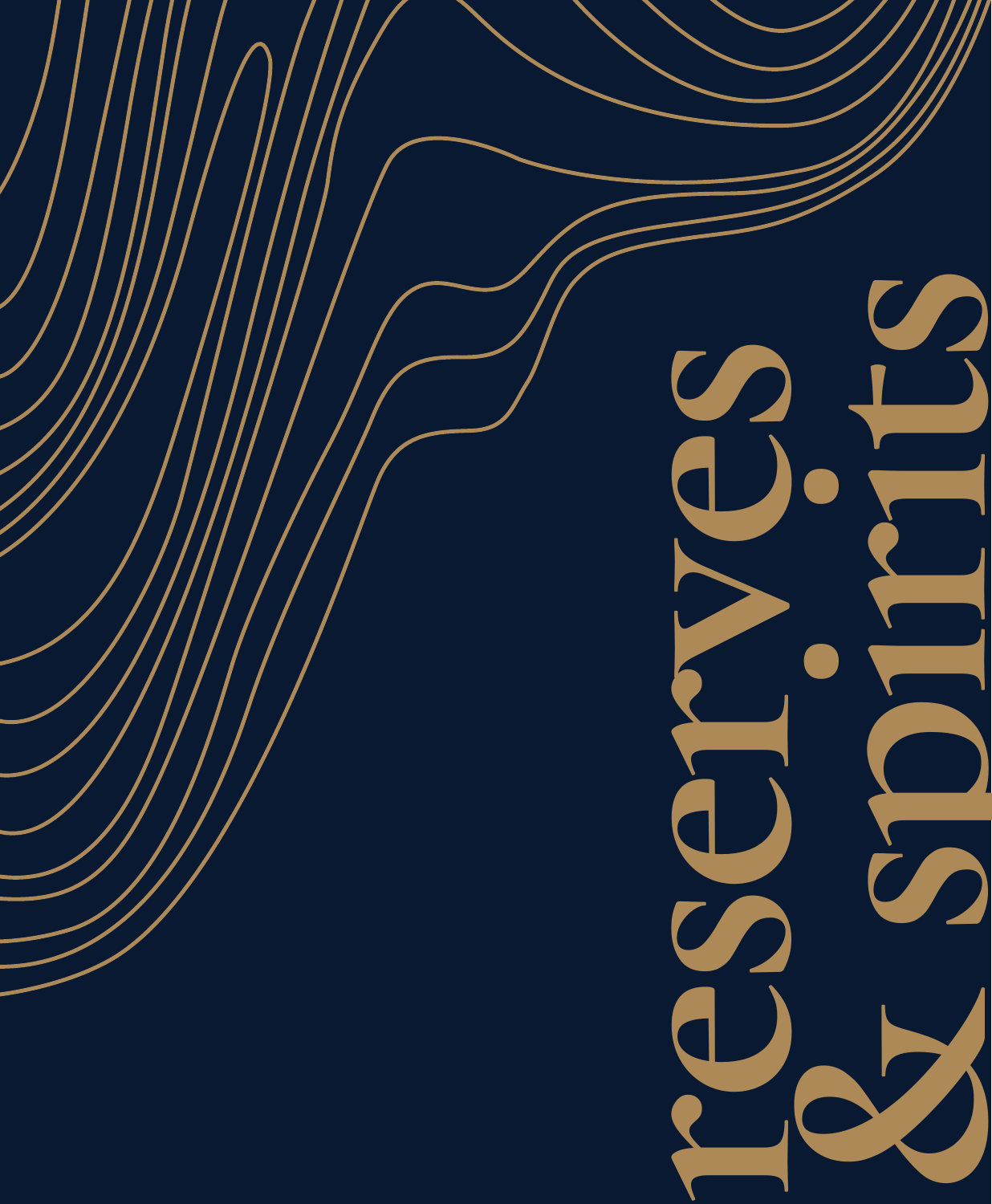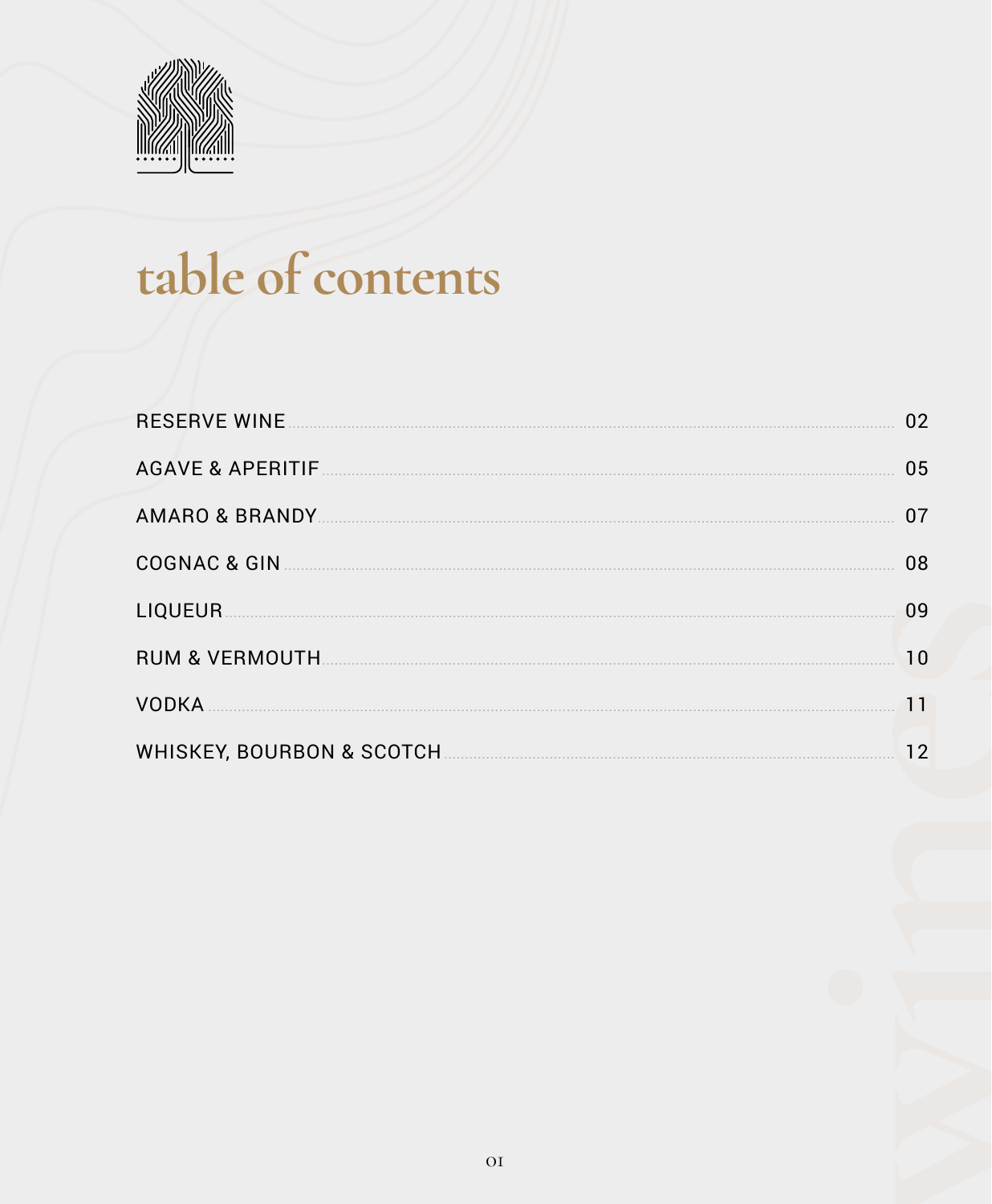

# table of contents

| <b>RESERVE WINE</b> | 02 |
|---------------------|----|
|                     | 05 |
|                     | 07 |
|                     | 08 |
| <b>LIQUEUR</b>      | 09 |
|                     | 10 |
| <b>VODKA</b>        |    |
|                     | 12 |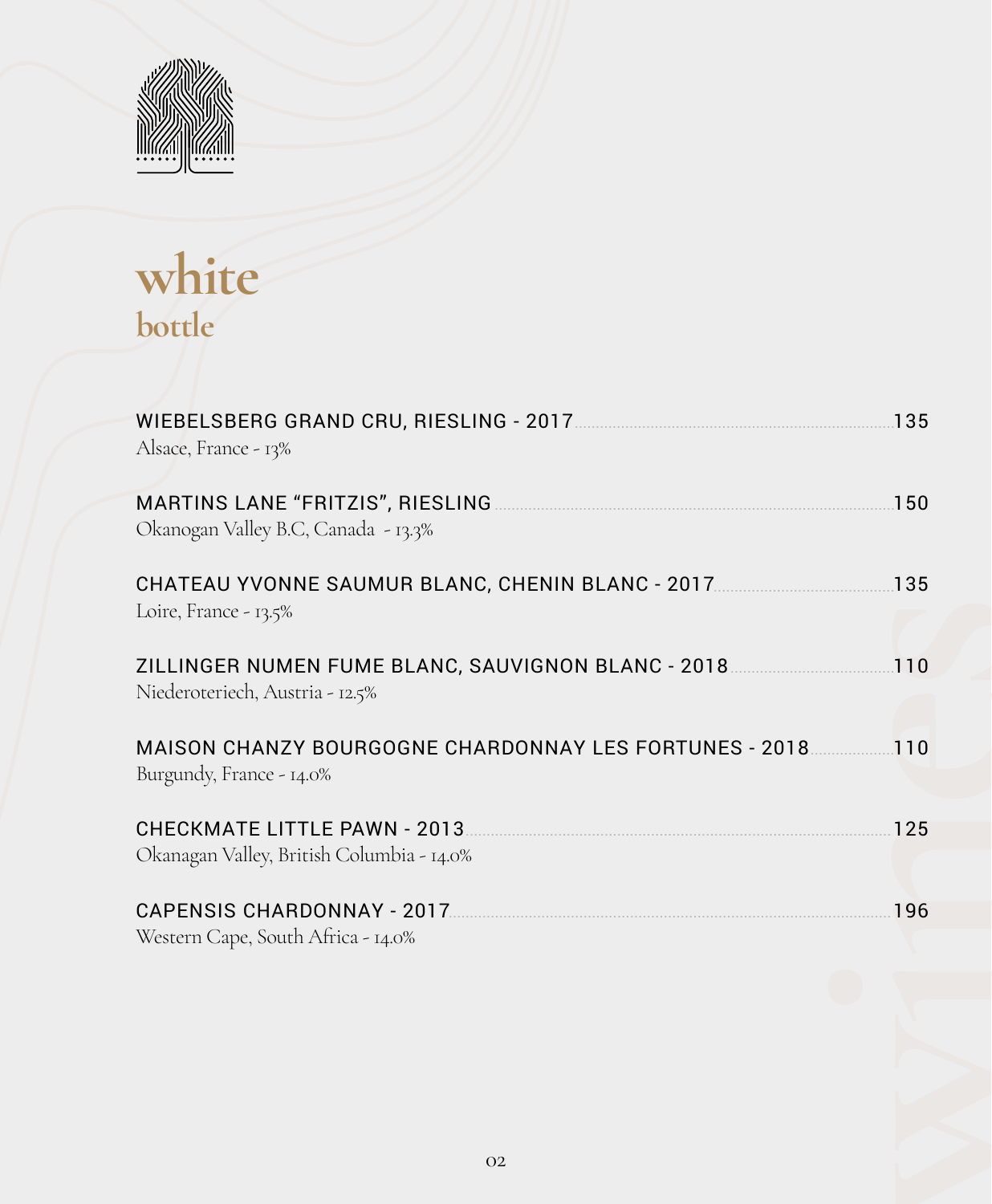

**white bottle**

| Alsace, France - 13%                                                                             |     |
|--------------------------------------------------------------------------------------------------|-----|
| MARTINS LANE "FRITZIS", RIESLING <b>CONSIDERATION</b> 150<br>Okanogan Valley B.C, Canada - 13.3% |     |
| Loire, France - 13.5%                                                                            |     |
| ZILLINGER NUMEN FUME BLANC, SAUVIGNON BLANC - 2018110<br>Niederoteriech, Austria - 12.5%         |     |
| MAISON CHANZY BOURGOGNE CHARDONNAY LES FORTUNES - 2018110<br>Burgundy, France - 14.0%            |     |
| Okanagan Valley, British Columbia - 14.0%                                                        |     |
| Western Cape, South Africa - 14.0%                                                               | 196 |
|                                                                                                  |     |
| O <sub>2</sub>                                                                                   |     |
|                                                                                                  |     |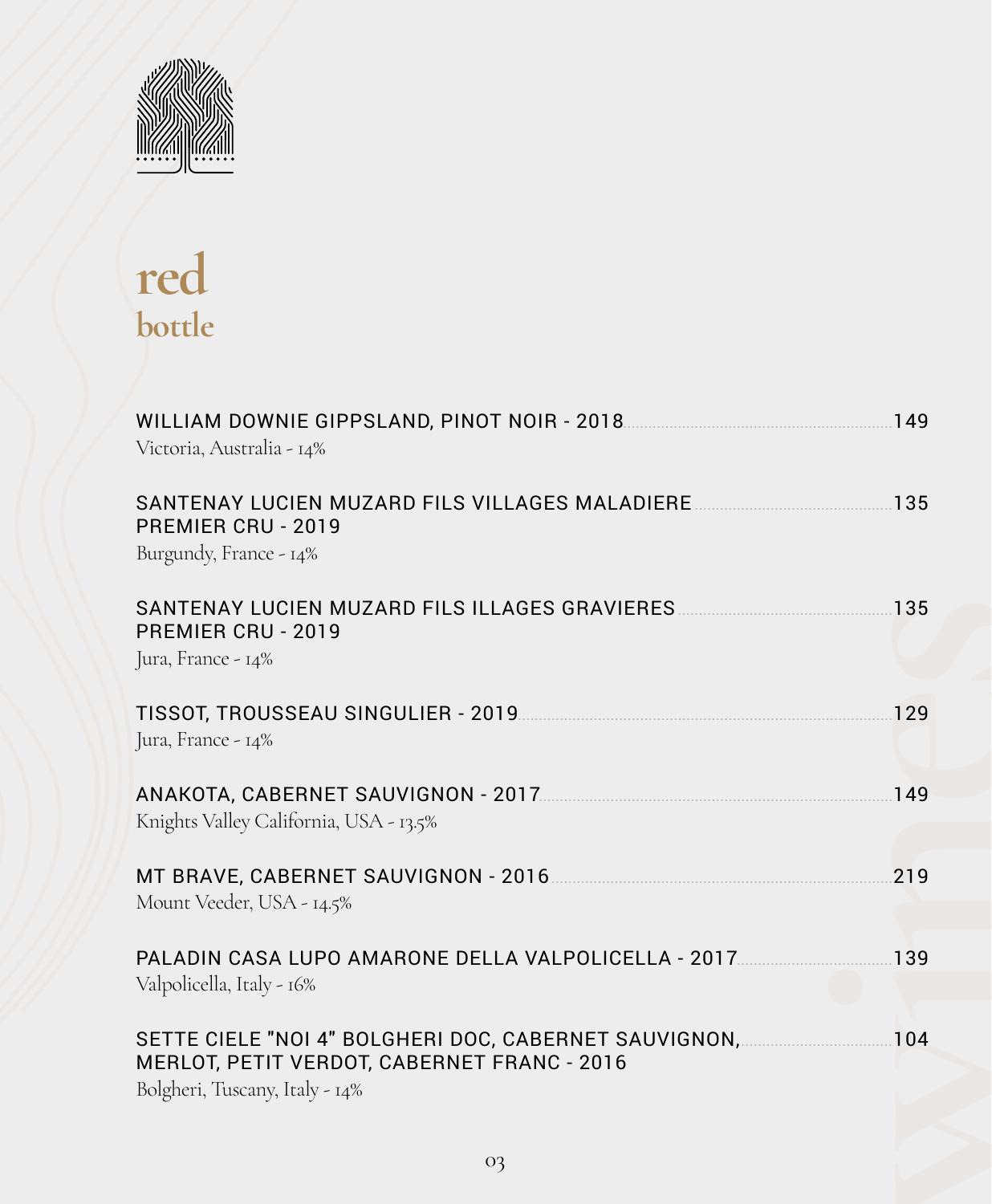

# **red bottle**

| Victoria, Australia - 14%                                                                                   |  |
|-------------------------------------------------------------------------------------------------------------|--|
| PREMIER CRU - 2019<br>Burgundy, France - 14%                                                                |  |
| SANTENAY LUCIEN MUZARD FILS ILLAGES GRAVIERES [135] 135<br>PREMIER CRU - 2019<br>Jura, France - 14%         |  |
| Jura, France - 14%                                                                                          |  |
| ANAKOTA, CABERNET SAUVIGNON - 2017 [2017] [2010] 2017<br>Knights Valley California, USA - 13.5%             |  |
| MT BRAVE, CABERNET SAUVIGNON - 2016 [2010] MT BRAVE, CABERNET SAUVIGNON - 2016<br>Mount Veeder, USA - 14.5% |  |
| PALADIN CASA LUPO AMARONE DELLA VALPOLICELLA - 2017139<br>Valpolicella, Italy - 16%                         |  |
| MERLOT, PETIT VERDOT, CABERNET FRANC - 2016<br>Bolgheri, Tuscany, Italy - 14%                               |  |
| O <sub>3</sub>                                                                                              |  |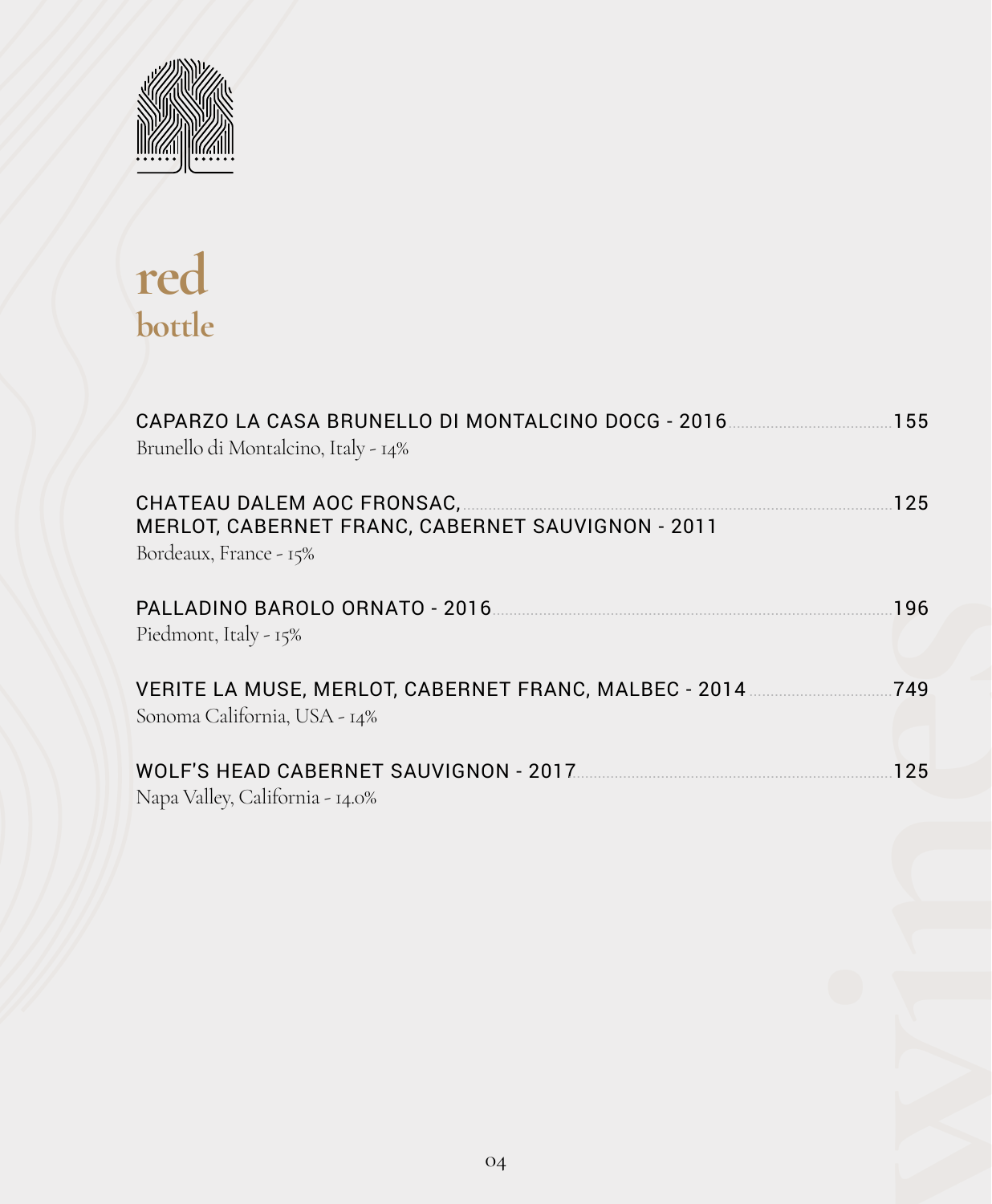

# **red bottle**

| CAPARZO LA CASA BRUNELLO DI MONTALCINO DOCG - 2016 [2010] [155]<br>Brunello di Montalcino, Italy - 14%                           |  |
|----------------------------------------------------------------------------------------------------------------------------------|--|
| CHATEAU DALEM AOC FRONSAC, 2008 2009 2009 2010 25<br>MERLOT, CABERNET FRANC, CABERNET SAUVIGNON - 2011<br>Bordeaux, France - 15% |  |
| Piedmont, Italy - 15%                                                                                                            |  |
| Sonoma California, USA - 14%                                                                                                     |  |
| Napa Valley, California - 14.0%                                                                                                  |  |
|                                                                                                                                  |  |
|                                                                                                                                  |  |
|                                                                                                                                  |  |
|                                                                                                                                  |  |
| 04                                                                                                                               |  |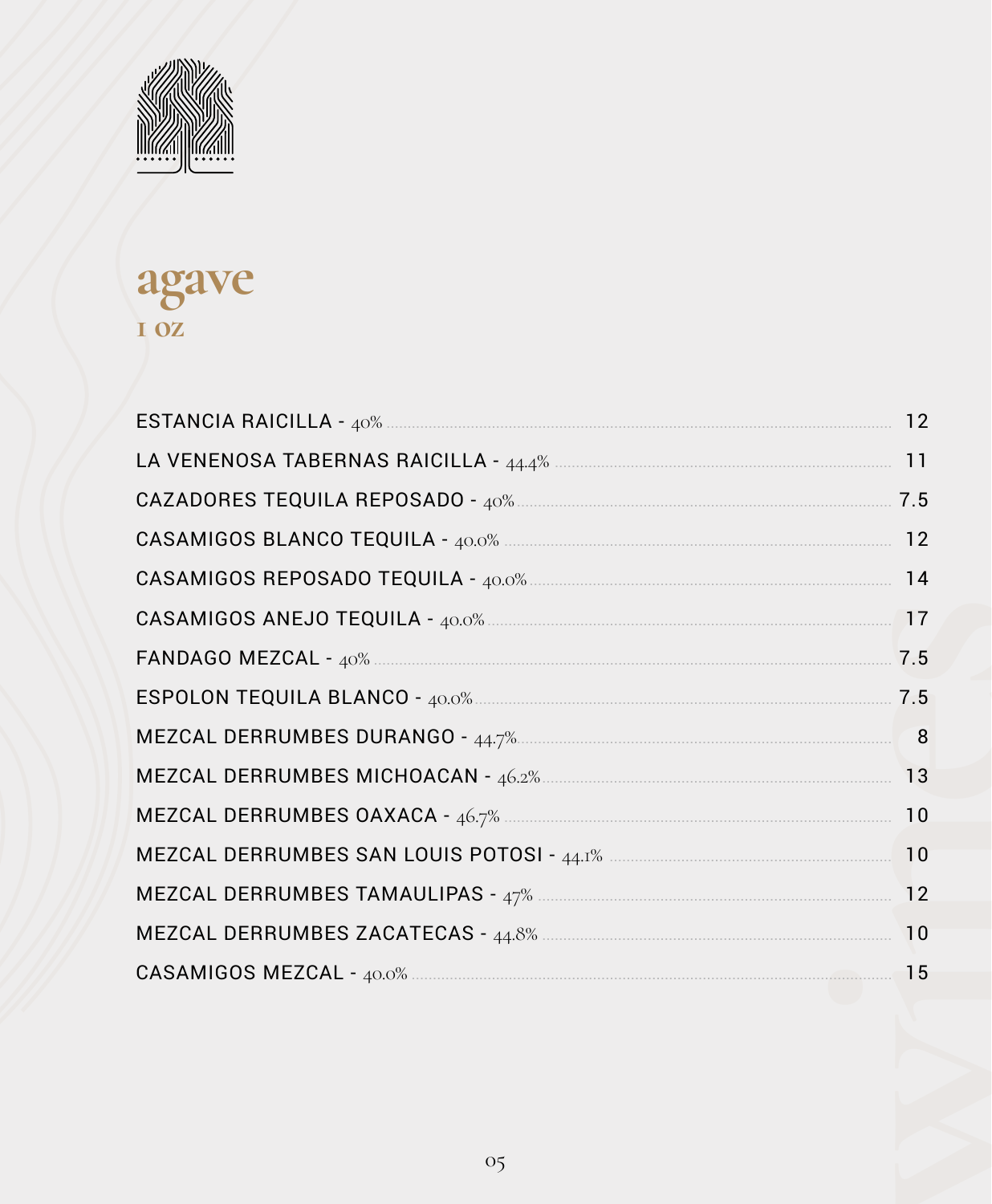

### agave I OZ

|                                                                                                                                                                                                                                                                                                                                                                                                                                                                                        | 12  |
|----------------------------------------------------------------------------------------------------------------------------------------------------------------------------------------------------------------------------------------------------------------------------------------------------------------------------------------------------------------------------------------------------------------------------------------------------------------------------------------|-----|
|                                                                                                                                                                                                                                                                                                                                                                                                                                                                                        |     |
|                                                                                                                                                                                                                                                                                                                                                                                                                                                                                        | 7.5 |
| $\textbf{CASAMIGOS BLANCO TEQUILA - } \textit{40.0}\% \textcolor{red}{\textbf{20.0}} \textcolor{red}{\textbf{5.0}} \textcolor{red}{\textbf{5.0}} \textcolor{red}{\textbf{5.0}} \textcolor{red}{\textbf{6.0}} \textcolor{red}{\textbf{6.0}} \textcolor{red}{\textbf{6.0}} \textcolor{red}{\textbf{6.0}} \textcolor{red}{\textbf{6.0}} \textcolor{red}{\textbf{6.0}} \textcolor{red}{\textbf{6.0}} \textcolor{red}{\textbf{6.0}} \textcolor{red}{\textbf{6.0}} \textcolor{red}{\textbf{$ | 12  |
|                                                                                                                                                                                                                                                                                                                                                                                                                                                                                        | 14  |
|                                                                                                                                                                                                                                                                                                                                                                                                                                                                                        |     |
|                                                                                                                                                                                                                                                                                                                                                                                                                                                                                        | 7.5 |
|                                                                                                                                                                                                                                                                                                                                                                                                                                                                                        | 7.5 |
|                                                                                                                                                                                                                                                                                                                                                                                                                                                                                        | 8   |
|                                                                                                                                                                                                                                                                                                                                                                                                                                                                                        | 13  |
|                                                                                                                                                                                                                                                                                                                                                                                                                                                                                        | 10  |
|                                                                                                                                                                                                                                                                                                                                                                                                                                                                                        | 10  |
|                                                                                                                                                                                                                                                                                                                                                                                                                                                                                        | 12  |
|                                                                                                                                                                                                                                                                                                                                                                                                                                                                                        | 10  |
|                                                                                                                                                                                                                                                                                                                                                                                                                                                                                        |     |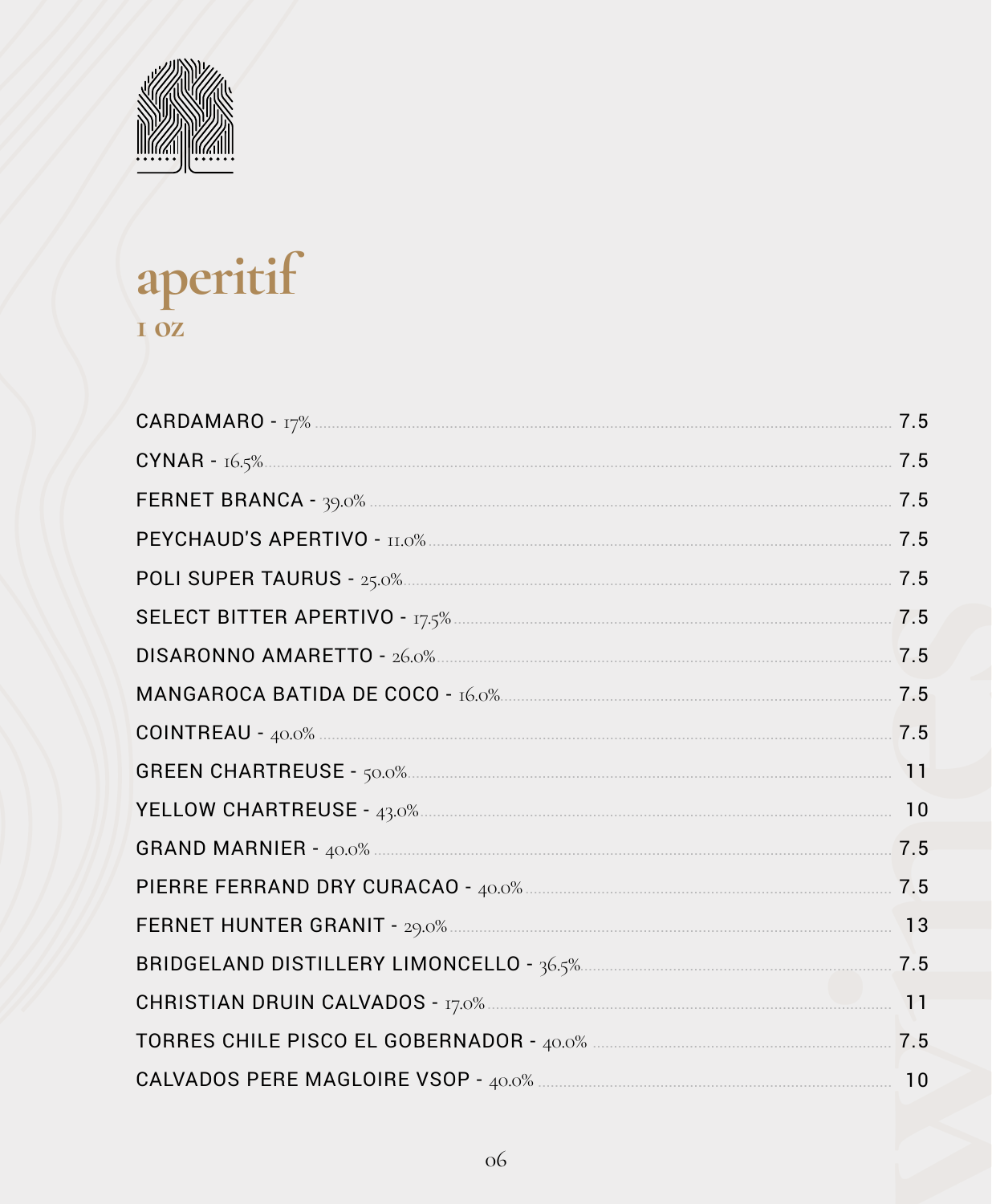

# aperitif I OZ

| COINTREAU - 40.0% 2.5 |  |
|-----------------------|--|
|                       |  |
|                       |  |
|                       |  |
|                       |  |
|                       |  |
|                       |  |
|                       |  |
|                       |  |
|                       |  |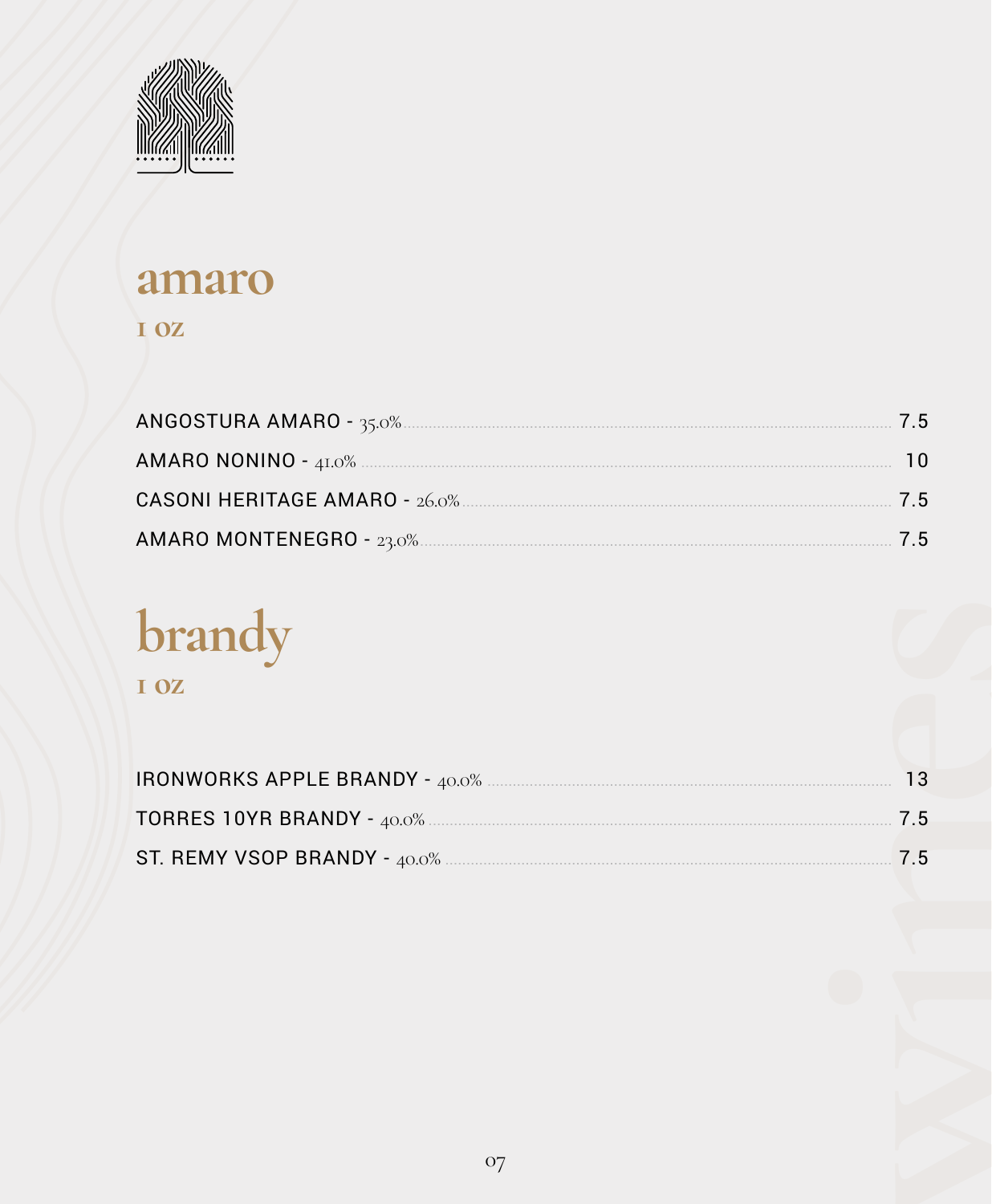

### amaro

#### I OZ

| 75 |
|----|
| 75 |

# brandy

I OZ

| IRONWORKS APPLE BRANDY - 40.0% MALLONDER CONTROLLER TO A 13 |  |
|-------------------------------------------------------------|--|
|                                                             |  |
|                                                             |  |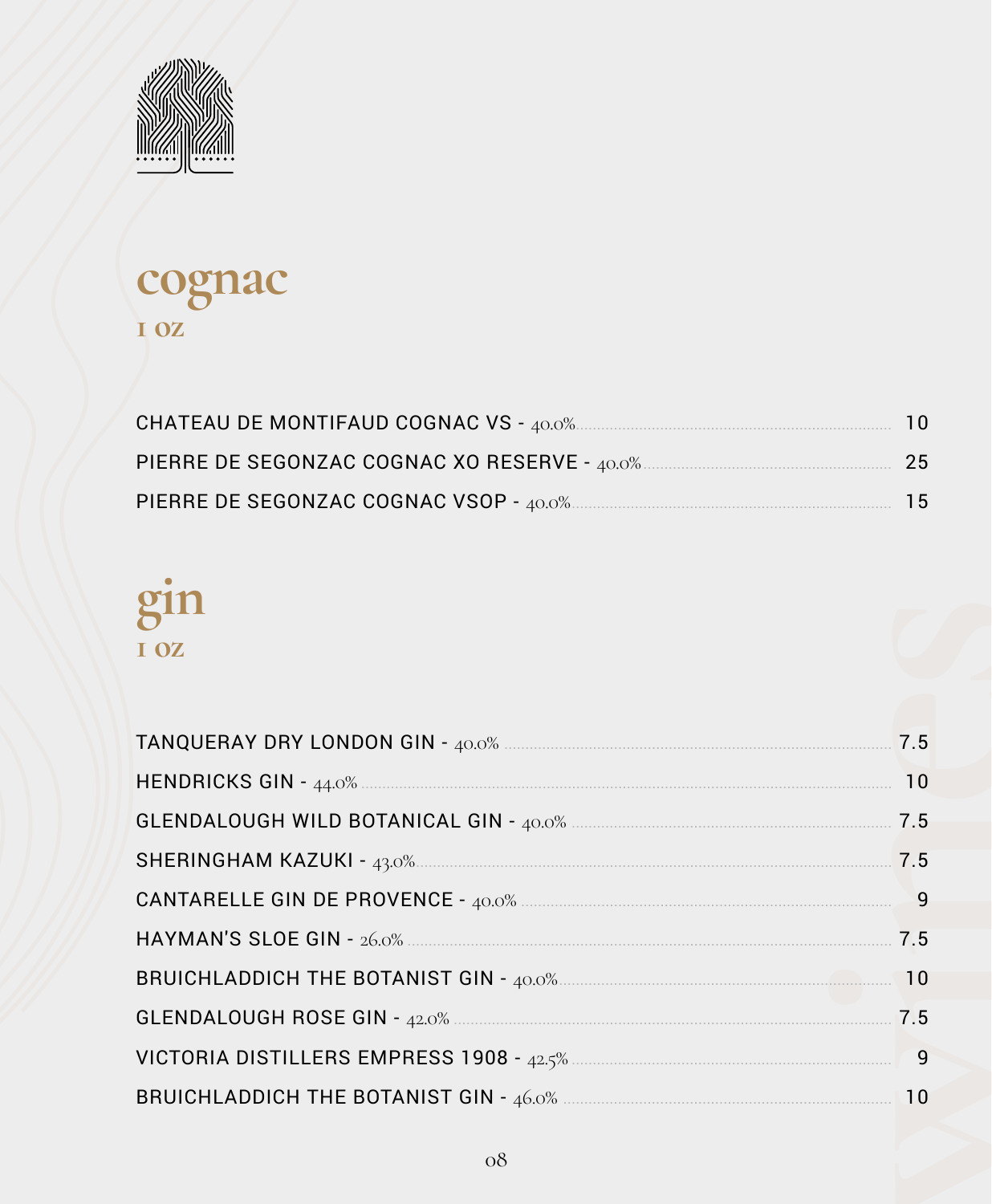

### cognac I OZ

|                                               | 10  |
|-----------------------------------------------|-----|
| PIERRE DE SEGONZAC COGNAC XO RESERVE - 40.0%. | -25 |
|                                               | 15  |

# gin I OZ

| BRUICHLADDICH THE BOTANIST GIN - 40.0% <b>CONSUMING THE BOTANIST GIN</b> - 40.0% |  |
|----------------------------------------------------------------------------------|--|
|                                                                                  |  |
|                                                                                  |  |
|                                                                                  |  |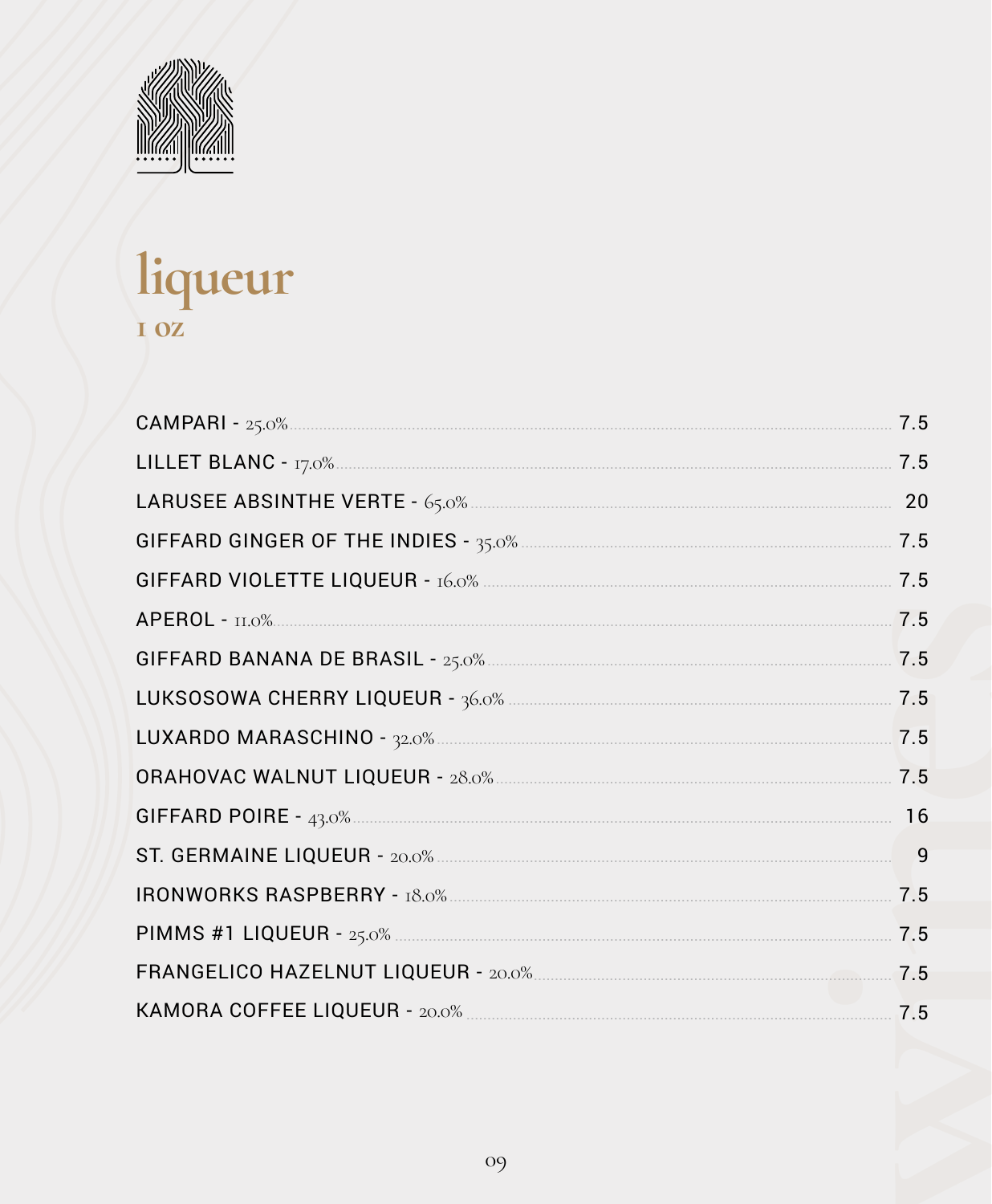

# liqueur

| 7.5 |
|-----|
| 7.5 |
| 20  |
|     |
| 7.5 |
| 7.5 |
|     |
| 7.5 |
| 7.5 |
| 7.5 |
| 16  |
| 9   |
| 7.5 |
| 7.5 |
|     |
|     |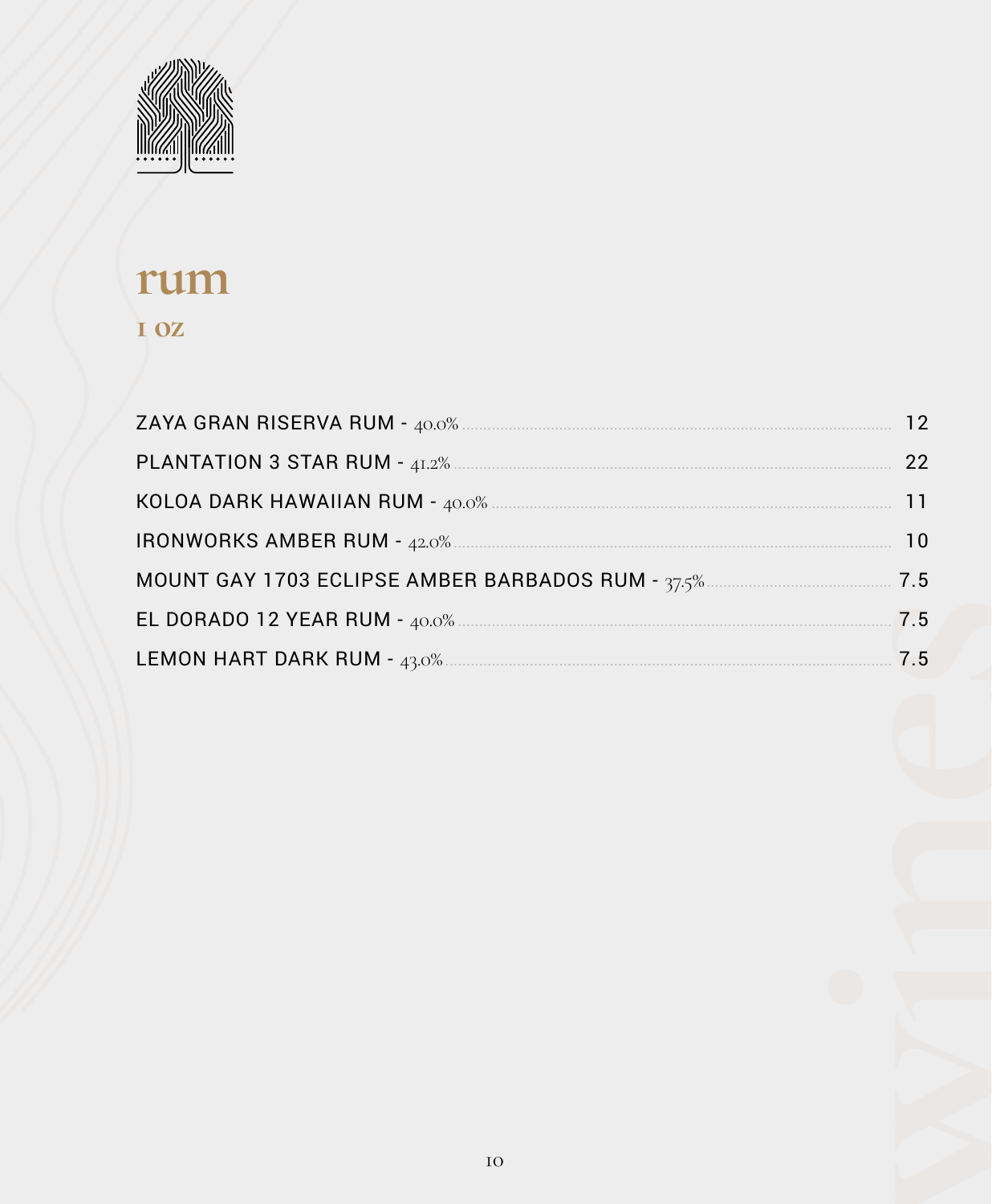

#### rum I OZ

|                                                   | 22        |
|---------------------------------------------------|-----------|
|                                                   |           |
|                                                   | <b>10</b> |
| MOUNT GAY 1703 ECLIPSE AMBER BARBADOS RUM - 37.5% |           |
|                                                   | 7.5       |
|                                                   | 7.5       |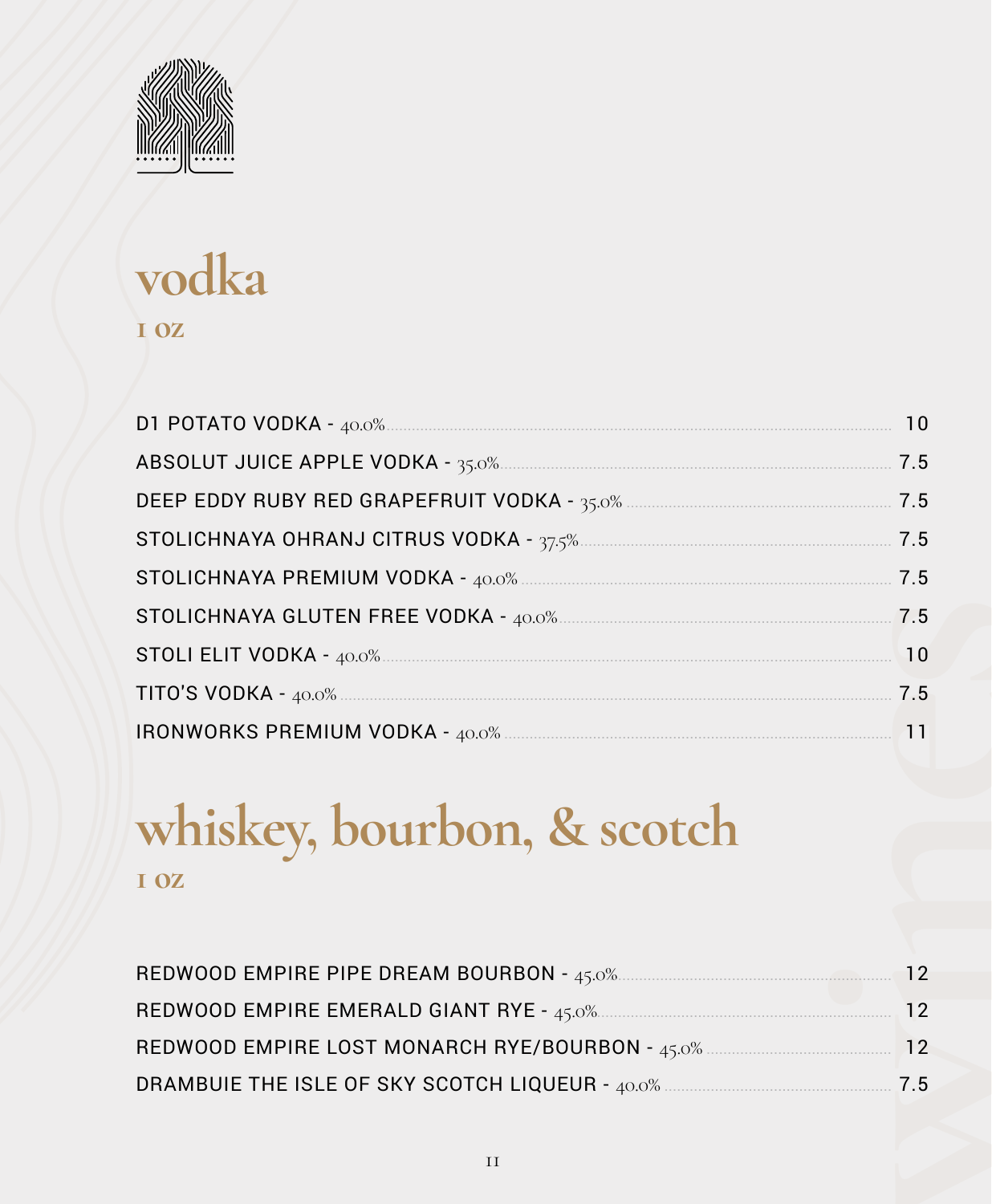

### vodka I OZ

# whiskey, bourbon, & scotch I OZ

| REDWOOD EMPIRE PIPE DREAM BOURBON - 45.0%.       | 12        |
|--------------------------------------------------|-----------|
| REDWOOD EMPIRE EMERALD GIANT RYE - 45.0%         | 12        |
| REDWOOD EMPIRE LOST MONARCH RYE/BOURBON - 45.0%  | <b>12</b> |
| DRAMBUIE THE ISLE OF SKY SCOTCH LIQUEUR - 40.0%. | 7.5       |